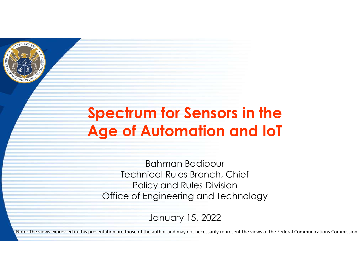

# Spectrum for Sensors in the Age of Automation and IoT

Bahman Badipour Technical Rules Branch, Chief Policy and Rules Division **OFFICH THE SEARS OF AUTOMATION AND REPORT OF AUTOMATION CONTINUITIES AND REPORT OF AUTOMATION CONTINUITIES AND ACT AND MOREON CONTINUITIES AND MOREON DURING AN ABOVE THE MOREON DURING THE MOREON DURING THE MOREON DURING A** 

January 15, 2022

Note: The views expressed in this presentation are those of the author and may not necessarily represent the views of the Federal Communications Commission.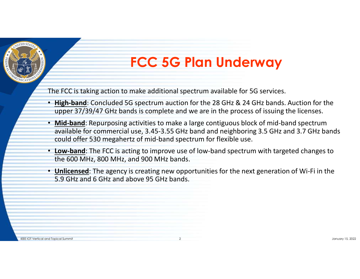

# FCC 5G Plan Underway

The FCC is taking action to make additional spectrum available for 5G services.

- High-band: Concluded 5G spectrum auction for the 28 GHz & 24 GHz bands. Auction for the upper 37/39/47 GHz bands is complete and we are in the process of issuing the licenses.
- Mid-band: Repurposing activities to make a large contiguous block of mid-band spectrum available for commercial use, 3.45-3.55 GHz band and neighboring 3.5 GHz and 3.7 GHz bands could offer 530 megahertz of mid-band spectrum for flexible use. **• Mid-band**: Repurposing activities to make a large contiguous block of mid-band spectrum available for commercial use, 3.45-3.5 GHz band an neighboring 3.5 GHz and 3.7 GHz bands could offer 530 megahertz of mid-band spec
	- Low-band: The FCC is acting to improve use of low-band spectrum with targeted changes to the 600 MHz, 800 MHz, and 900 MHz bands.
	- Unlicensed: The agency is creating new opportunities for the next generation of Wi-Fi in the 5.9 GHz and 6 GHz and above 95 GHz bands.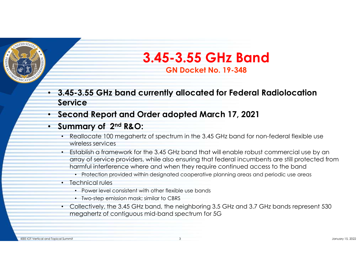

# 3.45-3.55 GHz Band GN Docket No. 19-348

- 3.45-3.55 GHz band currently allocated for Federal Radiolocation Service
- Second Report and Order adopted March 17, 2021
- Summary of 2<sup>nd</sup> R&O:
	- Reallocate 100 megahertz of spectrum in the 3.45 GHz band for non-federal flexible use wireless services
	- Establish a framework for the 3.45 GHz band that will enable robust commercial use by an array of service providers, while also ensuring that federal incumbents are still protected from harmful interference where and when they require continued access to the band
		- Protection provided within designated cooperative planning areas and periodic use areas
	- Technical rules
		- Power level consistent with other flexible use bands
		- Two-step emission mask; similar to CBRS
	- Collectively, the 3.45 GHz band, the neighboring 3.5 GHz and 3.7 GHz bands represent 530 megahertz of contiguous mid-band spectrum for 5G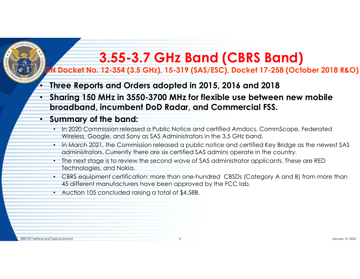# 3.55-3.7 GHz Band (CBRS Band)

#### GN Docket No. 12-354 (3.5 GHz), 15-319 (SAS/ESC), Docket 17-258 (October 2018 R&O)

#### • Three Reports and Orders adopted in 2015, 2016 and 2018

• Sharing 150 MHz in 3550-3700 MHz for flexible use between new mobile broadband, incumbent DoD Radar, and Commercial FSS.

#### • Summary of the band:

- In 2020 Commission released a Public Notice and certified Amdocs, CommScope, Federated Wireless, Google, and Sony as SAS Administrators in the 3.5 GHz band.
- In March 2021, the Commission released a public notice and certified Key Bridge as the newest SAS administrators. Currently there are six certified SAS admins operate in the country.
- The next stage is to review the second wave of SAS administrator applicants. These are RED Technologies, and Nokia.
- CBRS equipment certification: more than one-hundred CBSDs (Category A and B) from more than 45 different manufacturers have been approved by the FCC lab.
- Auction 105 concluded raising a total of \$4.58B.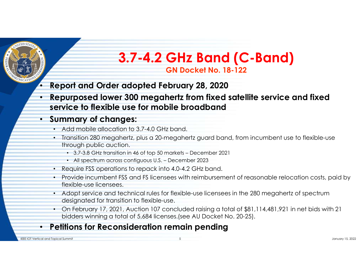

# 3.7-4.2 GHz Band (C-Band) GN Docket No. 18-122

## • Report and Order adopted February 28, 2020

• Repurposed lower 300 megahertz from fixed satellite service and fixed service to flexible use for mobile broadband **3.7-4.2 GHz Band (C-Band)**<br> **GN Docket No. 18-122**<br> **ont and Order adopted February 28, 2020**<br> **urposed lower 300 megahertz from fixed satellite service and fixed**<br> **ice to flexible use for mobile broadband**<br> **mary of ch 3.7-4.2 GHz Band (C-Band)**<br> **GN Docket No. 18-122**<br>
ort and Order adopted February 28, 2020<br>
urposed lower 300 megahertz from fixed satellite service and fix<br>
ice to flexible use for mobile broadband<br>
mary of changes:<br>
d

### • Summary of changes:

- Add mobile allocation to 3.7-4.0 GHz band.
- Transition 280 megahertz, plus a 20-megahertz guard band, from incumbent use to flexible-use through public auction.
	-
	-
- Require FSS operations to repack into 4.0-4.2 GHz band.
- Provide incumbent FSS and FS licensees with reimbursement of reasonable relocation costs, paid by flexible-use licensees.
- Adopt service and technical rules for flexible-use licensees in the 280 megahertz of spectrum designated for transition to flexible-use.
- On February 17, 2021, Auction 107 concluded raising a total of \$81,114,481,921 in net bids with 21 bidders winning a total of 5,684 licenses.(see AU Docket No. 20-25).

## • Petitions for Reconsideration remain pending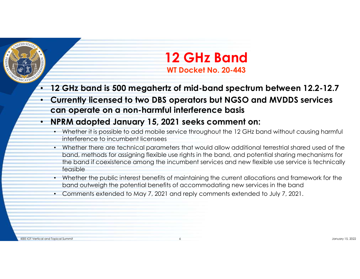

# 12 GHz Band WT Docket No. 20-443

- 12 GHz band is 500 megahertz of mid-band spectrum between 12.2-12.7
- Currently licensed to two DBS operators but NGSO and MVDDS services can operate on a non-harmful interference basis

## • NPRM adopted January 15, 2021 seeks comment on:

- Whether it is possible to add mobile service throughout the 12 GHz band without causing harmful interference to incumbent licensees
- Whether there are technical parameters that would allow additional terrestrial shared used of the band, methods for assigning flexible use rights in the band, and potential sharing mechanisms for the band if coexistence among the incumbent services and new flexible use service is technically feasible
- Whether the public interest benefits of maintaining the current allocations and framework for the band outweigh the potential benefits of accommodating new services in the band
- Comments extended to May 7, 2021 and reply comments extended to July 7, 2021.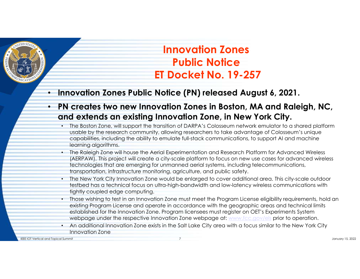

# Innovation Zones Public Notice Innovation Zones<br>Public Notice<br>ET Docket No. 19-257<br>Notice (PN) released August 6, 2021.

- Innovation Zones Public Notice (PN) released August 6, 2021.
- PN creates two new Innovation Zones in Boston, MA and Raleigh, NC, and extends an existing Innovation Zone, in New York City.
	- The Boston Zone, will support the transition of DARPA's Colosseum network emulator to a shared platform usable by the research community, allowing researchers to take advantage of Colosseum's unique capabilities, including the ability to emulate full-stack communications, to support AI and machine learning algorithms.
	- The Raleigh Zone will house the Aerial Experimentation and Research Platform for Advanced Wireless (AERPAW). This project will create a city-scale platform to focus on new use cases for advanced wireless technologies that are emerging for unmanned aerial systems, including telecommunications, transportation, infrastructure monitoring, agriculture, and public safety.
	- The New York City Innovation Zone would be enlarged to cover additional area. This city-scale outdoor testbed has a technical focus on ultra-high-bandwidth and low-latency wireless communications with tightly coupled edge computing.
	- Those wishing to test in an Innovation Zone must meet the Program License eligibility requirements, hold an existing Program License and operate in accordance with the geographic areas and technical limits established for the Innovation Zone. Program licensees must register on OET's Experiments System webpage under the respective Innovation Zone webpage at: www.fcc.gov/els prior to operation.
	- An additional Innovation Zone exists in the Salt Lake City area with a focus similar to the New York City Innovation Zone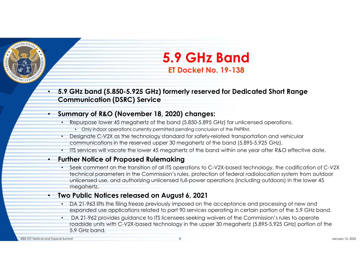

# 5.9 GHz Band ET Docket No. 19-138

• 5.9 GHz band (5.850-5.925 GHz) formerly reserved for Dedicated Short Range Communication (DSRC) Service

#### • Summary of R&O (November 18, 2020) changes:

- Repurpose lower 45 megahertz of the band (5.850-5.895 GHz) for unlicensed operations.
	- Only indoor operations currently permitted pending conclusion of the FNPRM.
- Designate C-V2X as the technology standard for safety-related transportation and vehicular communications in the reserved upper 30 megahertz of the band (5.895-5.925 GHz).
- ITS services will vacate the lower 45 megahertz of the band within one year after R&O effective date.

#### • Further Notice of Proposed Rulemaking

• Seek comment on the transition of all ITS operations to C-V2X-based technology, the codification of C-V2X technical parameters in the Commission's rules, protection of federal radiolocation system from outdoor unlicensed use, and authorizing unlicensed full-power operations (including outdoors) in the lower 45 megahertz.

#### • Two Public Notices released on August 6, 2021

- DA 21-963 lifts the filing freeze previously imposed on the acceptance and processing of new and expanded use applications related to part 90 services operating in certain portion of the 5.9 GHz band.
- DA 21-962 provides guidance to ITS licensees seeking waivers of the Commission's rules to operate roadside units with C-V2X-based technology in the upper 30 megahertz (5.895-5.925 GHz) portion of the 5.9 GHz band.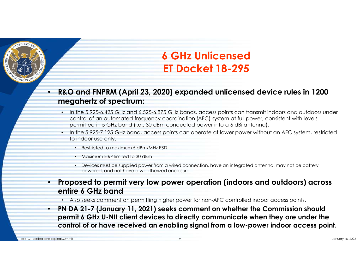

# 6 GHz Unlicensed ET Docket 18-295

- R&O and FNPRM (April 23, 2020) expanded unlicensed device rules in 1200 megahertz of spectrum:
- In the 5.925-6.425 GHz and 6.525-6.875 GHz bands, access points can transmit indoors and outdoors under control of an automated frequency coordination (AFC) system at full power, consistent with levels **6 GHz Unlicensed**<br> **ET Docket 18-295**<br> **EO and FNPRM (April 23, 2020) expanded unlicensed device rules in 1200**<br> **ENDER (i.e., 30 dBm conducted power into a 6 dBi antensmit indoors and outdoors under<br>
control of an autom** 
	- to indoor use only.
		- Restricted to maximum 5 dBm/MHz PSD
		- Maximum EIRP limited to 30 dBm
		- Devices must be supplied power from a wired connection, have an integrated antenna, may not be battery powered, and not have a weatherized enclosure
- Proposed to permit very low power operation (indoors and outdoors) across entire 6 GHz band
	- Also seeks comment on permitting higher power for non-AFC controlled indoor access points.
- PN DA 21-7 (January 11, 2021) seeks comment on whether the Commission should permit 6 GHz U-NII client devices to directly communicate when they are under the control of or have received an enabling signal from a low-power indoor access point.

IEEE IOT Vertical and Topical Summit 9 January 15, 2022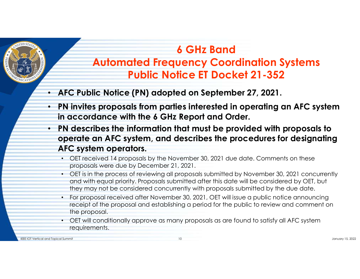

# 6 GHz Band Automated Frequency Coordination Systems Public Notice ET Docket 21-352

- AFC Public Notice (PN) adopted on September 27, 2021.
- PN invites proposals from parties interested in operating an AFC system in accordance with the 6 GHz Report and Order.
- PN describes the information that must be provided with proposals to operate an AFC system, and describes the procedures for designating AFC system operators.
	- OET received 14 proposals by the November 30, 2021 due date. Comments on these proposals were due by December 21, 2021.
	- OET is in the process of reviewing all proposals submitted by November 30, 2021 concurrently and with equal priority. Proposals submitted after this date will be considered by OET, but they may not be considered concurrently with proposals submitted by the due date.
	- For proposal received after November 30, 2021, OET will issue a public notice announcing receipt of the proposal and establishing a period for the public to review and comment on the proposal.
	- OET will conditionally approve as many proposals as are found to satisfy all AFC system requirements.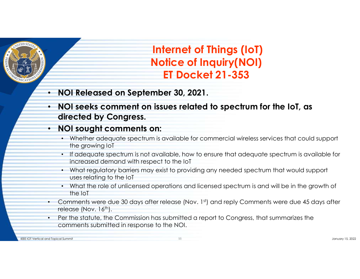

- NOI Released on September 30, 2021.
- NOI seeks comment on issues related to spectrum for the IoT, as directed by Congress.

#### • NOI sought comments on:

- Whether adequate spectrum is available for commercial wireless services that could support the growing IoT
- If adequate spectrum is not available, how to ensure that adequate spectrum is available for increased demand with respect to the IoT
- What regulatory barriers may exist to providing any needed spectrum that would support uses relating to the IoT
- What the role of unlicensed operations and licensed spectrum is and will be in the growth of the IoT
- Comments were due 30 days after release (Nov. 1st) and reply Comments were due 45 days after release (Nov.  $16<sup>th</sup>$ ).
- Per the statute, the Commission has submitted a report to Congress, that summarizes the comments submitted in response to the NOI.

IEEE IOT Vertical and Topical Summit 11 January 15, 2022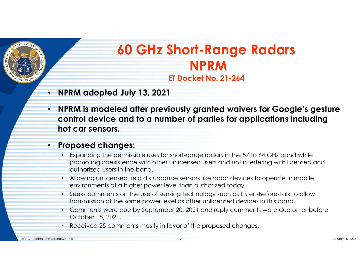

# 60 GHz Short-Range Radars NPRM ET Docket No. 21-264

- NPRM adopted July 13, 2021
- NPRM is modeled after previously granted waivers for Google's gesture control device and to a number of parties for applications including hot car sensors.

#### • Proposed changes:

- Expanding the permissible uses for short-range radars in the 57 to 64 GHz band while promoting coexistence with other unlicensed users and not interfering with licensed and authorized users in the band.
- Allowing unlicensed field disturbance sensors like radar devices to operate in mobile environments at a higher power level than authorized today.
- Seeks comments on the use of sensing technology such as Listen-Before-Talk to allow transmission at the same power level as other unlicensed devices in this band.
- Comments were due by September 20, 2021 and reply comments were due on or before October 18, 2021.
- Received 25 comments mostly in favor of the proposed changes.

IEEE IOT Vertical and Topical Summit 12 January 15, 2022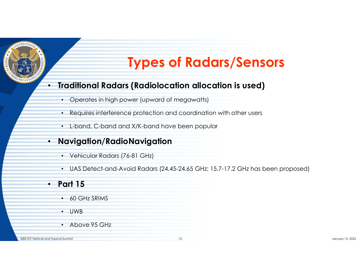

# Types of Radars/Sensors

#### • Traditional Radars (Radiolocation allocation is used)

- Operates in high power (upward of megawatts)
- Requires interference protection and coordination with other users
- L-band, C-band and X/K-band have been popular

#### • Navigation/RadioNavigation

- Vehicular Radars (76-81 GHz)
- UAS Detect-and-Avoid Radars (24.45-24.65 GHz; 15.7-17.2 GHz has been proposed)

#### **Part 15**

- 60 GHz SRIMS
- UWB
- Above 95 GHz

IEEE IOT Vertical and Topical Summit 13 January 15, 2022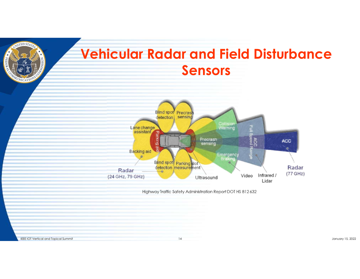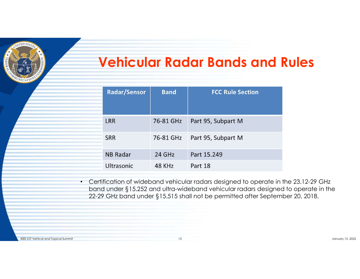

# Vehicular Radar Bands and Rules

| <b>Radar/Sensor</b> | <b>Band</b> | <b>FCC Rule Section</b> |
|---------------------|-------------|-------------------------|
| <b>LRR</b>          | 76-81 GHz   | Part 95, Subpart M      |
| <b>SRR</b>          | 76-81 GHz   | Part 95, Subpart M      |
| <b>NB Radar</b>     | 24 GHz      | Part 15.249             |
| <b>Ultrasonic</b>   | 48 KHz      | Part 18                 |

• Certification of wideband vehicular radars designed to operate in the 23.12-29 GHz band under §15.252 and ultra-wideband vehicular radars designed to operate in the 22-29 GHz band under §15.515 shall not be permitted after September 20, 2018.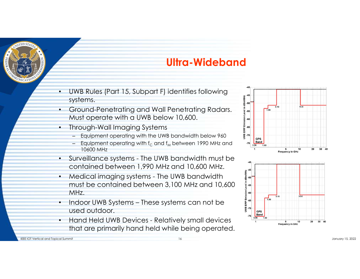

# Ultra-Wideband

- UWB Rules (Part 15, Subpart F) identifies following<br>systems. systems.
- Ground-Penetrating and Wall Penetrating Radars.  $\frac{1}{3}$   $\frac{1}{1}$ Must operate with a UWB below 10,600.
- Through-Wall Imaging Systems
	- Equipment operating with the UWB bandwidth below 960
	- Equipment operating with  $f_C$  and  $f_M$  between 1990 MHz and  $\frac{f_{Band}}{f_{0.96}}$ 10600 MHz
- 
- contained between 1,990 MHz and 10,600 MHz.<br>Medical imaging systems The UWB bandwidth<br>must be contained between 3,100 MHz and 10,600 must be contained between 3,100 MHz and 10,600  $\frac{2}{3}$  ss MHz.
- used outdoor.
- that are primarily hand held while being operated.



IEEE IOT Vertical and Topical Summit 16 January 15, 2022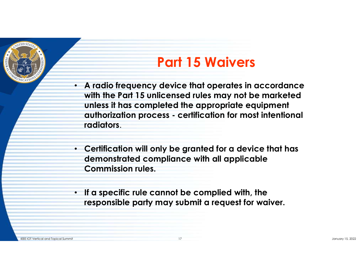

# Part 15 Waivers

- A radio frequency device that operates in accordance with the Part 15 unlicensed rules may not be marketed unless it has completed the appropriate equipment **Part 15 Waivers**<br>A radio frequency device that operates in accordance<br>with the Part 15 unlicensed rules may not be marketed<br>unless it has completed the appropriate equipment<br>authorization process - certification for most radiators.
- Certification will only be granted for a device that has demonstrated compliance with all applicable Commission rules.
- If a specific rule cannot be complied with, the responsible party may submit a request for waiver.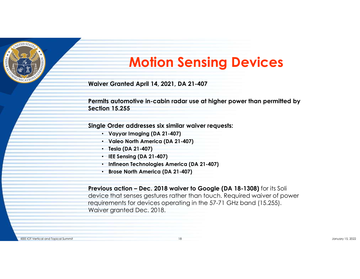

# **Motion Sensing Device**<br>
For Granted April 14, 2021, DA 21-407<br>
Mis automotive in-cabin radar use at higher power than perion<br>
15.255<br>
e Order addresses six similar waiver requests:<br>
• Vayyar Imaging (DA 21-407)<br>
• Valeo N Motion Sensing Devices

Waiver Granted April 14, 2021, DA 21-407

Permits automotive in-cabin radar use at higher power than permitted by Section 15.255

Single Order addresses six similar waiver requests:

- Vayyar Imaging (DA 21-407)
- 
- Tesla (DA 21-407)
- IEE Sensing (DA 21-407)
- Infineon Technologies America (DA 21-407)
- Brose North America (DA 21-407)

Waiver Granted April 14, 2021, DA 21-407<br>
Permits automotive in-cabin radar use at higher power than permitted by<br>
Section 15.255<br>
Single Order addresses six similar waiver requests:<br>
· Vayyar Imaging (DA 21-407)<br>
· Use No device that senses gestures rather than touch. Required waiver of power requirements for devices operating in the 57-71 GHz band (15.255). Waiver granted Dec. 2018.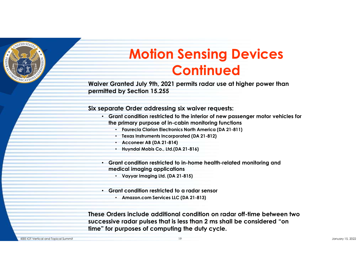

# **Motion Sensing Devices**<br> **Continued July 9th, 2021 permits radar use at higher power than**<br>
the Dreta July 9th, 2021 permits radar use at higher power than<br>
the Order addressing six waiver requests:<br>
ant condition restri **Motion Sensing Devices**<br> **Continued Server Constant Co.**<br>
Franched July 9th, 2021 permits radar use at higher power than<br>
by Section 15.255<br>
ate Order addressing six waiver requests:<br>
ant condition restricted to the inte **CONTINUTE SETTSTANTS AND THE CONTROLL SETTS AND THE CONTROLLER (SCITE AND ASSES** the Order addressing six waiver requests:<br>
and Corder addressing six waiver requests:<br>
and condition restricted to the interior of new pass Motion Sensing Devices **Continued**

Waiver Granted July 9th, 2021 permits radar use at higher power than permitted by Section 15.255

Six separate Order addressing six waiver requests:

- Grant condition restricted to the interior of new passenger motor vehicles for the primary purpose of in-cabin monitoring functions
	- Faurecia Clarion Electronics North America (DA 21-811)
	- Texas Instruments Incorporated (DA 21-812)
	-
	-
- Grant condition restricted to in-home health-related monitoring and medical imaging applications
	-
- Grant condition restricted to a radar sensor
	- Amazon.com Services LLC (DA 21-813)

These Orders include additional condition on radar off-time between two Six separate Order addressing six walver requests:<br>
• Grant condition restricted to the interior of new passenger motor vehicles for<br>
the primary purpose of in-cabin monitoring functions<br>
• Faves Instruments incorporated time" for purposes of computing the duty cycle.

IEEE IOT Vertical and Topical Summit 19 January 15, 2022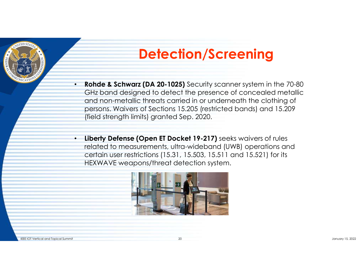

# Detection/Screening

- Rohde & Schwarz (DA 20-1025) Security scanner system in the 70-80 GHz band designed to detect the presence of concealed metallic and non-metallic threats carried in or underneath the clothing of persons. Waivers of Sections 15.205 (restricted bands) and 15.209 (field strength limits) granted Sep. 2020.
- Liberty Defense (Open ET Docket 19-217) seeks waivers of rules related to measurements, ultra-wideband (UWB) operations and certain user restrictions (15.31, 15.503, 15.511 and 15.521) for its HEXWAVE weapons/threat detection system.

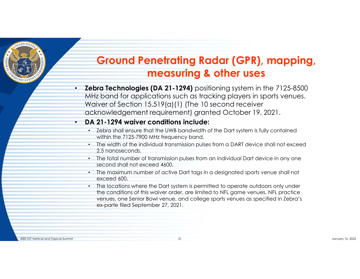

# Ground Penetrating Radar (GPR), mapping, measuring & other uses

• Zebra Technologies (DA 21-1294) positioning system in the 7125-8500 MHz band for applications such as tracking players in sports venues. Waiver of Section 15.519(a)(1) (The 10 second receiver acknowledgement requirement) granted October 19, 2021. ra Technologies (DA 21-1294) positioning system in the bottom of complications such as tracking players in spoter of Section 15.519(a)(1) (The 10 second receiver mowledgement requirement) granted October 19, 20<br>21-1294 wai

#### • DA 21-1294 waiver conditions include:

- Zebra shall ensure that the UWB bandwidth of the Dart system is fully contained within the 7125-7900 MHz frequency band.
- The width of the individual transmission pulses from a DART device shall not exceed 2.5 nanoseconds.
- The total number of transmission pulses from an individual Dart device in any one second shall not exceed 4600.
- The maximum number of active Dart tags in a designated sports venue shall not exceed 600.
- The locations where the Dart system is permitted to operate outdoors only under the conditions of this waiver order, are limited to NFL game venues, NFL practice venues, one Senior Bowl venue, and college sports venues as specified in Zebra's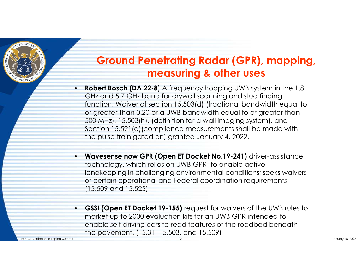

# Ground Penetrating Radar (GPR), mapping, measuring & other uses

- **Robert Bosch (DA 22-8)** A frequency hopping UWB system in the 1.8 GHz and 5.7 GHz band for drywall scanning and stud finding function. Waiver of section 15.503(d) (fractional bandwidth equal to or greater than 0.20 or a UWB bandwidth equal to or greater than 500 MHz), 15.503(h), (definition for a wall imaging system), and Section 15.521(d)(compliance measurements shall be made with the pulse train gated on) granted January 4, 2022. **Ground Penetrating Radar (GPR), mapping,**<br> **encasuring & other uses**<br>
• Robert Bosch (DA 22-8) A frequency hopping UWB system in the 1.8<br>
GHz and 5.7 GHz band for drywall scanning and stud finding<br>
function. Waiver of sec **Ground Penetrating Radar (GPR), mapping,**<br> **measuring & other uses**<br> **Robert Bosch (DA 22-8)** A frequency hopping UWB system in the 1.8<br>
GHz and 5.7 GHz band for drywall scanning and stud fining<br>
function. Waiver of secti
- technology, which relies on UWB GPR to enable active of certain operational and Federal coordination requirements (15.509 and 15.525)
- GSSI (Open ET Docket 19-155) request for waivers of the UWB rules to market up to 2000 evaluation kits for an UWB GPR intended to enable self-driving cars to read features of the roadbed beneath the pavement. (15.31, 15.503, and 15.509) IEEE IOT Vertical and Topical Summit 2002 January 15, 2022 2014 22 January 15, 2022 2014 2014 2022 2022 2022 2023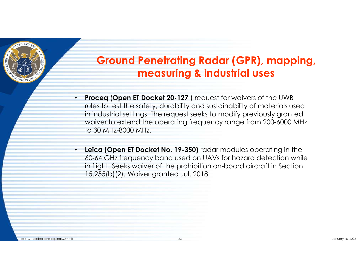

# Ground Penetrating Radar (GPR), mapping, measuring & industrial uses

- **Proceg (Open ET Docket 20-127**) request for waivers of the UWB rules to test the safety, durability and sustainability of materials used in industrial settings. The request seeks to modify previously granted waiver to extend the operating frequency range from 200-6000 MHz to 30 MHz-8000 MHz.
- Leica (Open ET Docket No. 19-350) radar modules operating in the 60-64 GHz frequency band used on UAVs for hazard detection while in flight. Seeks waiver of the prohibition on-board aircraft in Section 15.255(b)(2). Waiver granted Jul. 2018.

IEEE IOT Vertical and Topical Summit 23 January 15, 2022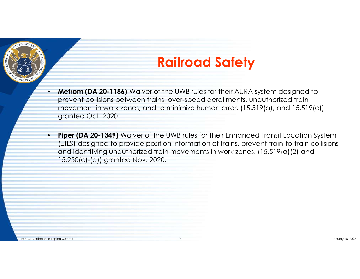

# Railroad Safety

- Metrom (DA 20-1186) Waiver of the UWB rules for their AURA system designed to prevent collisions between trains, over-speed derailments, unauthorized train movement in work zones, and to minimize human error. (15.519(a), prevent collisions between trains, over-speed derailments, unauthorized train movement in work zones, and to minimize human error. (15.519(a), and 15.519(c)) granted Oct. 2020.
- **Piper (DA 20-1349)** Waiver of the UWB rules for their Enhanced Transit Location System (ETLS) designed to provide position information of trains, prevent train-to-train collisions and identifying unauthorized train movements in work zones. (15.519(a)(2) and 15.250(c)-(d)) granted Nov. 2020.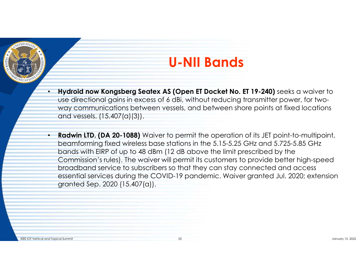

# U-NII Bands

- **U NII Bands**<br>• Hydroid now Kongsberg Seatex AS (Open ET Docket No. ET 19-240) seeks a waiver to use directional gains in excess of 6 dBi, without reducing transmitter power, for two-<br>way communications between vessels, use directional gains in excess of 6 dBi, without reducing transmitter power, for twoway communications between vessels, and between shore points at fixed locations and vessels. (15.407(a)(3)).
- **Hydroid now Kongsberg Seatex AS (Open ET Docket No. ET 19-240)** seeks a waiver to use directional gains in excess of 6 dBi, without reducing transmitter power, for two-way communications between vessels, and between sho beamforming fixed wireless base stations in the 5.15-5.25 GHz and 5.725-5.85 GHz bands with EIRP of up to 48 dBm (12 dB above the limit prescribed by the Commission's rules). The waiver will permit its customers to provide better high-speed broadband service to subscribers so that they can stay connected and access essential services during the COVID-19 pandemic. Waiver granted Jul. 2020; extension granted Sep. 2020 (15.407(a)).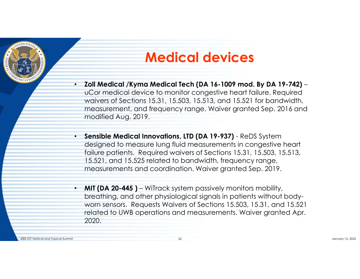

# Medical devices

- Zoll Medical /Kyma Medical Tech (DA 16-1009 mod. By DA 19-742)<br>• UCor medical device to monitor congestive heart failure. Required<br>waivers of Sections 15.31, 15.503, 15.513, and 15.521 for bandwidth,<br>measurement, and fre waivers of Sections 15.31, 15.503, 15.513, and 15.521 for bandwidth, measurement, and frequency range. Waiver granted Sep. 2016 and modified Aug. 2019. • **Medical Aviced Calculations, 2013**<br>• Sensible Medical Independent (DA 16-1009 mod. By DA 19-742)<br>• UCor medical device to monitor congestive heart failure. Required<br>waivers of Sections 15.31, 15.503, 15.513, and 15.521 • **Zoll Medical /Kyma Medical Tech (DA 16-1009 mod. By DA 19-742)** – uCor medical device to monitor congestive heart failure. Required waivers of Sections 15.31, 15.503, 15.513, and 15.521 for bandwidth, measurement, and f
- designed to measure lung fluid measurements in congestive heart failure patients. Required waivers of Sections 15.31, 15.503, 15.513, 15.521, and 15.525 related to bandwidth, frequency range, measurements and coordination. Waiver granted Sep. 2019.
- breathing, and other physiological signals in patients without bodyworn sensors. Requests Waivers of Sections 15.503, 15.31, and 15.521 related to UWB operations and measurements. Waiver granted Apr. 2020.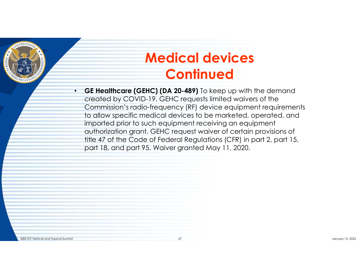

# Medical devices **Continued**

• GE Healthcare (GEHC) (DA 20-489) To keep up with the demand created by COVID-19, GEHC requests limited waivers of the Commission's radio-frequency (RF) device equipment requirements to allow specific medical devices to be marketed, operated, and imported prior to such equipment receiving an equipment authorization grant. GEHC request waiver of certain provisions of title 47 of the Code of Federal Regulations (CFR) in part 2, part 15, part 18, and part 95. Waiver granted May 11, 2020.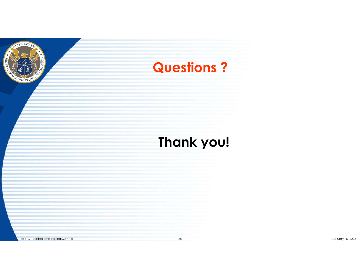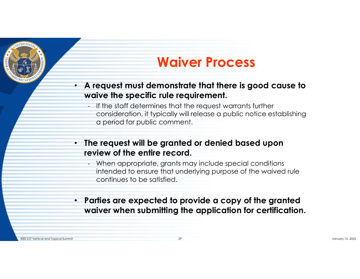

# Waiver Process

- A request must demonstrate that there is good cause to waive the specific rule requirement.
- **Waiver Process**<br>- **If the specific rule requirement.**<br>- If the staff determines that the request warrants further<br>- If the staff determines that the request warrants further<br>- consideration, it typically will release a pu consideration, it typically will release a public notice establishing a period for public comment. **Waiver Process**<br> **CONTRET ACCESS**<br> **CONTRET APPROXIMENT APPLATE CONTRETERT APPLATE CONSIDERED**<br> **CONTRET APPROXIMENT APPROXIMED APPROXIMED APPROXIMATE CONSIDERATION**<br> **CONTRET APPROXIMENT APPROXIMENT APPROXIMATE Special c**
- The request will be granted or denied based upon review of the entire record.
	- intended to ensure that underlying purpose of the waived rule continues to be satisfied.
- Parties are expected to provide a copy of the granted waiver when submitting the application for certification.